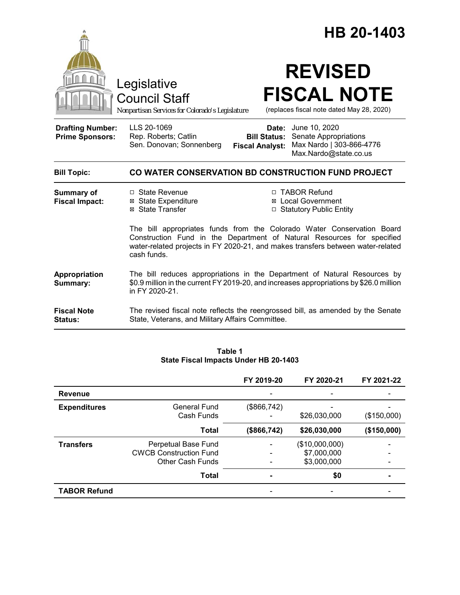|                                                   |                                                                                                                                                                                                                                                    | HB 20-1403                                                                                                                                      |  |  |  |
|---------------------------------------------------|----------------------------------------------------------------------------------------------------------------------------------------------------------------------------------------------------------------------------------------------------|-------------------------------------------------------------------------------------------------------------------------------------------------|--|--|--|
|                                                   | Legislative<br><b>Council Staff</b><br>Nonpartisan Services for Colorado's Legislature                                                                                                                                                             | <b>REVISED</b><br><b>FISCAL NOTE</b><br>(replaces fiscal note dated May 28, 2020)                                                               |  |  |  |
| <b>Drafting Number:</b><br><b>Prime Sponsors:</b> | LLS 20-1069<br>Rep. Roberts; Catlin<br>Sen. Donovan; Sonnenberg                                                                                                                                                                                    | Date: June 10, 2020<br><b>Bill Status:</b> Senate Appropriations<br>Max Nardo   303-866-4776<br><b>Fiscal Analyst:</b><br>Max.Nardo@state.co.us |  |  |  |
| <b>Bill Topic:</b>                                | CO WATER CONSERVATION BD CONSTRUCTION FUND PROJECT                                                                                                                                                                                                 |                                                                                                                                                 |  |  |  |
| <b>Summary of</b><br><b>Fiscal Impact:</b>        | □ State Revenue<br><b>⊠</b> State Expenditure<br>⊠ State Transfer                                                                                                                                                                                  | □ TABOR Refund<br><b>⊠</b> Local Government<br>□ Statutory Public Entity                                                                        |  |  |  |
|                                                   | The bill appropriates funds from the Colorado Water Conservation Board<br>Construction Fund in the Department of Natural Resources for specified<br>water-related projects in FY 2020-21, and makes transfers between water-related<br>cash funds. |                                                                                                                                                 |  |  |  |
| Appropriation<br>Summary:                         | The bill reduces appropriations in the Department of Natural Resources by<br>\$0.9 million in the current FY 2019-20, and increases appropriations by \$26.0 million<br>in FY 2020-21.                                                             |                                                                                                                                                 |  |  |  |
| <b>Fiscal Note</b><br>Status:                     | The revised fiscal note reflects the reengrossed bill, as amended by the Senate<br>State, Veterans, and Military Affairs Committee.                                                                                                                |                                                                                                                                                 |  |  |  |

| Table 1                               |  |  |  |  |  |  |
|---------------------------------------|--|--|--|--|--|--|
| State Fiscal Impacts Under HB 20-1403 |  |  |  |  |  |  |

|                     |                                                                                 | FY 2019-20  | FY 2020-21                                   | FY 2021-22  |
|---------------------|---------------------------------------------------------------------------------|-------------|----------------------------------------------|-------------|
| <b>Revenue</b>      |                                                                                 |             |                                              |             |
| <b>Expenditures</b> | General Fund<br>Cash Funds                                                      | (\$866,742) | \$26,030,000                                 | (\$150,000) |
|                     | <b>Total</b>                                                                    | (\$866,742) | \$26,030,000                                 | (\$150,000) |
| <b>Transfers</b>    | Perpetual Base Fund<br><b>CWCB Construction Fund</b><br><b>Other Cash Funds</b> |             | (\$10,000,000)<br>\$7,000,000<br>\$3,000,000 |             |
|                     | <b>Total</b>                                                                    |             | \$0                                          |             |
| <b>TABOR Refund</b> |                                                                                 |             |                                              |             |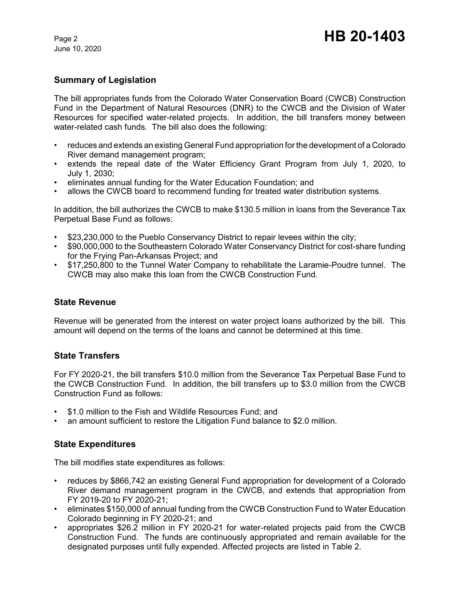June 10, 2020

# **Summary of Legislation**

The bill appropriates funds from the Colorado Water Conservation Board (CWCB) Construction Fund in the Department of Natural Resources (DNR) to the CWCB and the Division of Water Resources for specified water-related projects. In addition, the bill transfers money between water-related cash funds. The bill also does the following:

- reduces and extends an existing General Fund appropriation for the development of a Colorado River demand management program;
- extends the repeal date of the Water Efficiency Grant Program from July 1, 2020, to July 1, 2030;
- eliminates annual funding for the Water Education Foundation; and
- allows the CWCB board to recommend funding for treated water distribution systems.

In addition, the bill authorizes the CWCB to make \$130.5 million in loans from the Severance Tax Perpetual Base Fund as follows:

- \$23,230,000 to the Pueblo Conservancy District to repair levees within the city;
- \$90,000,000 to the Southeastern Colorado Water Conservancy District for cost-share funding for the Frying Pan-Arkansas Project; and
- \$17,250,800 to the Tunnel Water Company to rehabilitate the Laramie-Poudre tunnel. The CWCB may also make this loan from the CWCB Construction Fund.

#### **State Revenue**

Revenue will be generated from the interest on water project loans authorized by the bill. This amount will depend on the terms of the loans and cannot be determined at this time.

#### **State Transfers**

For FY 2020-21, the bill transfers \$10.0 million from the Severance Tax Perpetual Base Fund to the CWCB Construction Fund. In addition, the bill transfers up to \$3.0 million from the CWCB Construction Fund as follows:

- \$1.0 million to the Fish and Wildlife Resources Fund; and
- an amount sufficient to restore the Litigation Fund balance to \$2.0 million.

#### **State Expenditures**

The bill modifies state expenditures as follows:

- reduces by \$866,742 an existing General Fund appropriation for development of a Colorado River demand management program in the CWCB, and extends that appropriation from FY 2019-20 to FY 2020-21;
- eliminates \$150,000 of annual funding from the CWCB Construction Fund to Water Education Colorado beginning in FY 2020-21; and
- appropriates \$26.2 million in FY 2020-21 for water-related projects paid from the CWCB Construction Fund. The funds are continuously appropriated and remain available for the designated purposes until fully expended. Affected projects are listed in Table 2.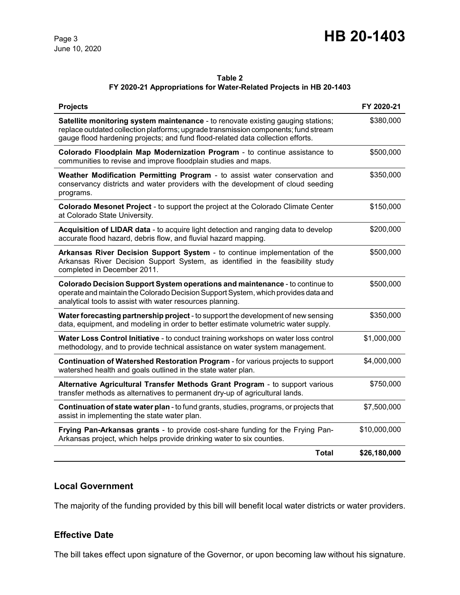# Page 3 **HB 20-1403**

# **Table 2**

## **FY 2020-21 Appropriations for Water-Related Projects in HB 20-1403**

| <b>Projects</b>                                                                                                                                                                                                                                            | FY 2020-21   |
|------------------------------------------------------------------------------------------------------------------------------------------------------------------------------------------------------------------------------------------------------------|--------------|
| Satellite monitoring system maintenance - to renovate existing gauging stations;<br>replace outdated collection platforms; upgrade transmission components; fund stream<br>gauge flood hardening projects; and fund flood-related data collection efforts. | \$380,000    |
| Colorado Floodplain Map Modernization Program - to continue assistance to<br>communities to revise and improve floodplain studies and maps.                                                                                                                | \$500,000    |
| Weather Modification Permitting Program - to assist water conservation and<br>conservancy districts and water providers with the development of cloud seeding<br>programs.                                                                                 | \$350,000    |
| Colorado Mesonet Project - to support the project at the Colorado Climate Center<br>at Colorado State University.                                                                                                                                          | \$150,000    |
| Acquisition of LIDAR data - to acquire light detection and ranging data to develop<br>accurate flood hazard, debris flow, and fluvial hazard mapping.                                                                                                      | \$200,000    |
| Arkansas River Decision Support System - to continue implementation of the<br>Arkansas River Decision Support System, as identified in the feasibility study<br>completed in December 2011.                                                                | \$500,000    |
| Colorado Decision Support System operations and maintenance - to continue to<br>operate and maintain the Colorado Decision Support System, which provides data and<br>analytical tools to assist with water resources planning.                            | \$500,000    |
| Water forecasting partnership project - to support the development of new sensing<br>data, equipment, and modeling in order to better estimate volumetric water supply.                                                                                    | \$350,000    |
| Water Loss Control Initiative - to conduct training workshops on water loss control<br>methodology, and to provide technical assistance on water system management.                                                                                        | \$1,000,000  |
| Continuation of Watershed Restoration Program - for various projects to support<br>watershed health and goals outlined in the state water plan.                                                                                                            | \$4,000,000  |
| Alternative Agricultural Transfer Methods Grant Program - to support various<br>transfer methods as alternatives to permanent dry-up of agricultural lands.                                                                                                | \$750,000    |
| <b>Continuation of state water plan</b> - to fund grants, studies, programs, or projects that<br>assist in implementing the state water plan.                                                                                                              | \$7,500,000  |
| Frying Pan-Arkansas grants - to provide cost-share funding for the Frying Pan-<br>Arkansas project, which helps provide drinking water to six counties.                                                                                                    | \$10,000,000 |
| <b>Total</b>                                                                                                                                                                                                                                               | \$26,180,000 |

# **Local Government**

The majority of the funding provided by this bill will benefit local water districts or water providers.

## **Effective Date**

The bill takes effect upon signature of the Governor, or upon becoming law without his signature.